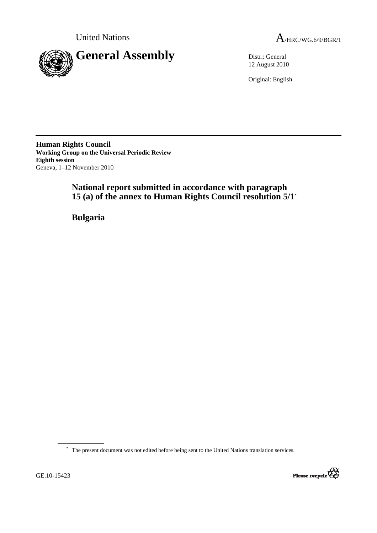



12 August 2010

Original: English

**Human Rights Council Working Group on the Universal Periodic Review Eighth session**  Geneva, 1–12 November 2010

> **National report submitted in accordance with paragraph 15 (a) of the annex to Human Rights Council resolution 5/1**\*

 **Bulgaria** 

\* The present document was not edited before being sent to the United Nations translation services.

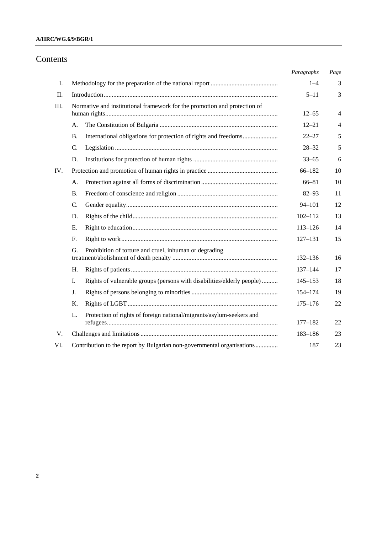## **A/HRC/WG.6/9/BGR/1**

# Contents

|     |                                                                              | Paragraphs  | Page           |
|-----|------------------------------------------------------------------------------|-------------|----------------|
| I.  |                                                                              | $1 - 4$     | 3              |
| Π.  |                                                                              | $5 - 11$    | 3              |
| Ш.  | Normative and institutional framework for the promotion and protection of    | $12 - 65$   | 4              |
|     | А.                                                                           | $12 - 21$   | $\overline{4}$ |
|     | International obligations for protection of rights and freedoms<br>В.        | $22 - 27$   | 5              |
|     | C.                                                                           | $28 - 32$   | 5              |
|     | D.                                                                           | $33 - 65$   | 6              |
| IV. |                                                                              | $66 - 182$  | 10             |
|     | А.                                                                           | $66 - 81$   | 10             |
|     | В.                                                                           | $82 - 93$   | 11             |
|     | C.                                                                           | $94 - 101$  | 12             |
|     | D.                                                                           | $102 - 112$ | 13             |
|     | Ε.                                                                           | $113 - 126$ | 14             |
|     | F.                                                                           | $127 - 131$ | 15             |
|     | Prohibition of torture and cruel, inhuman or degrading<br>G.                 | 132-136     | 16             |
|     | Н.                                                                           | $137 - 144$ | 17             |
|     | Rights of vulnerable groups (persons with disabilities/elderly people)<br>I. | $145 - 153$ | 18             |
|     | J.                                                                           | 154-174     | 19             |
|     | Κ.                                                                           | $175 - 176$ | 22             |
|     | Protection of rights of foreign national/migrants/asylum-seekers and<br>L.   |             |                |
|     |                                                                              | $177 - 182$ | 22             |
| V.  |                                                                              | 183-186     | 23             |
| VI. | Contribution to the report by Bulgarian non-governmental organisations       | 187         | 23             |
|     |                                                                              |             |                |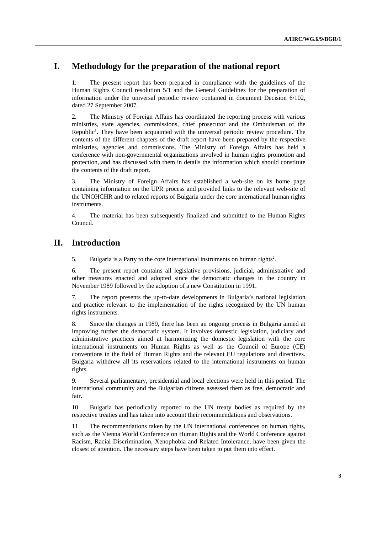# **I. Methodology for the preparation of the national report**

1. The present report has been prepared in compliance with the guidelines of the Human Rights Council resolution 5/1 and the General Guidelines for the preparation of information under the universal periodic review contained in document Decision 6/102, dated 27 September 2007.

2. The Ministry of Foreign Affairs has coordinated the reporting process with various ministries, state agencies, commissions, chief prosecutor and the Ombudsman of the Republic<sup>1</sup>. They have been acquainted with the universal periodic review procedure. The contents of the different chapters of the draft report have been prepared by the respective ministries, agencies and commissions. The Ministry of Foreign Affairs has held a conference with non-governmental organizations involved in human rights promotion and protection, and has discussed with them in details the information which should constitute the contents of the draft report.

3. The Ministry of Foreign Affairs has established a web-site on its home page containing information on the UPR process and provided links to the relevant web-site of the UNOHCHR and to related reports of Bulgaria under the core international human rights instruments.

4. The material has been subsequently finalized and submitted to the Human Rights Council.

# **II. Introduction**

5. Bulgaria is a Party to the core international instruments on human rights<sup>2</sup>.

6. The present report contains all legislative provisions, judicial, administrative and other measures enacted and adopted since the democratic changes in the country in November 1989 followed by the adoption of a new Constitution in 1991.

7. The report presents the up-to-date developments in Bulgaria's national legislation and practice relevant to the implementation of the rights recognized by the UN human rights instruments.

8. Since the changes in 1989, there has been an ongoing process in Bulgaria aimed at improving further the democratic system. It involves domestic legislation, judiciary and administrative practices aimed at harmonizing the domestic legislation with the core international instruments on Human Rights as well as the Council of Europe (CE) conventions in the field of Human Rights and the relevant EU regulations and directives. Bulgaria withdrew all its reservations related to the international instruments on human rights.

9. Several parliamentary, presidential and local elections were held in this period. The international community and the Bulgarian citizens assessed them as free, democratic and fair**.**

10. Bulgaria has periodically reported to the UN treaty bodies as required by the respective treaties and has taken into account their recommendations and observations.

11. The recommendations taken by the UN international conferences on human rights, such as the Vienna World Conference on Human Rights and the World Conference against Racism, Racial Discrimination, Xenophobia and Related Intolerance, have been given the closest of attention. The necessary steps have been taken to put them into effect.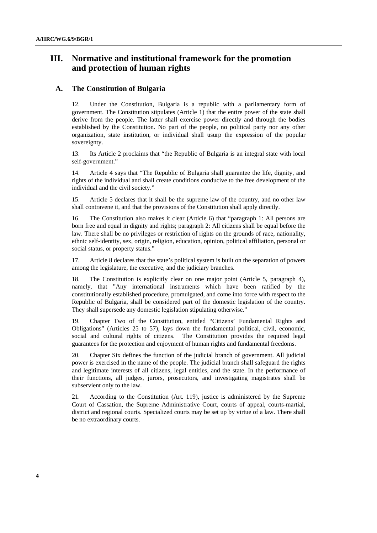# **III. Normative and institutional framework for the promotion and protection of human rights**

## **A. The Constitution of Bulgaria**

12. Under the Constitution, Bulgaria is a republic with a parliamentary form of government. The Constitution stipulates (Article 1) that the entire power of the state shall derive from the people. The latter shall exercise power directly and through the bodies established by the Constitution. No part of the people, no political party nor any other organization, state institution, or individual shall usurp the expression of the popular sovereignty.

13. Its Article 2 proclaims that "the Republic of Bulgaria is an integral state with local self-government."

14. Article 4 says that "The Republic of Bulgaria shall guarantee the life, dignity, and rights of the individual and shall create conditions conducive to the free development of the individual and the civil society."

15. Article 5 declares that it shall be the supreme law of the country, and no other law shall contravene it, and that the provisions of the Constitution shall apply directly.

16. The Constitution also makes it clear (Article 6) that "paragraph 1: All persons are born free and equal in dignity and rights; paragraph 2: All citizens shall be equal before the law. There shall be no privileges or restriction of rights on the grounds of race, nationality, ethnic self-identity, sex, origin, religion, education, opinion, political affiliation, personal or social status, or property status."

17. Article 8 declares that the state's political system is built on the separation of powers among the legislature, the executive, and the judiciary branches.

18. The Constitution is explicitly clear on one major point (Article 5, paragraph 4), namely, that "Any international instruments which have been ratified by the constitutionally established procedure, promulgated, and come into force with respect to the Republic of Bulgaria, shall be considered part of the domestic legislation of the country. They shall supersede any domestic legislation stipulating otherwise."

19. Chapter Two of the Constitution, entitled "Citizens' Fundamental Rights and Obligations" (Articles 25 to 57), lays down the fundamental political, civil, economic, social and cultural rights of citizens. The Constitution provides the required legal guarantees for the protection and enjoyment of human rights and fundamental freedoms.

20. Chapter Six defines the function of the judicial branch of government. All judicial power is exercised in the name of the people. The judicial branch shall safeguard the rights and legitimate interests of all citizens, legal entities, and the state. In the performance of their functions, all judges, jurors, prosecutors, and investigating magistrates shall be subservient only to the law.

21. According to the Constitution (Art. 119), justice is administered by the Supreme Court of Cassation, the Supreme Administrative Court, courts of appeal, courts-martial, district and regional courts. Specialized courts may be set up by virtue of a law. There shall be no extraordinary courts.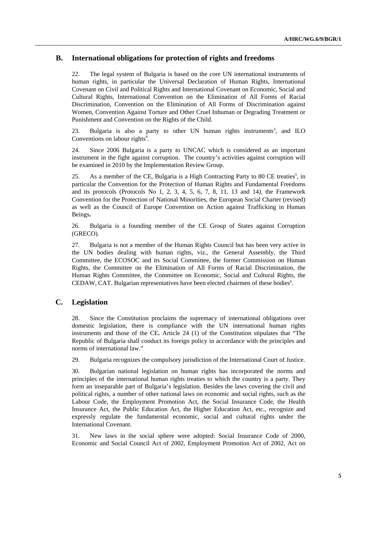# **B. International obligations for protection of rights and freedoms**

22. The legal system of Bulgaria is based on the core UN international instruments of human rights, in particular the Universal Declaration of Human Rights, International Covenant on Civil and Political Rights and International Covenant on Economic, Social and Cultural Rights, International Convention on the Elimination of All Forms of Racial Discrimination, Convention on the Elimination of All Forms of Discrimination against Women, Convention Against Torture and Other Cruel Inhuman or Degrading Treatment or Punishment and Convention on the Rights of the Child.

23. Bulgaria is also a party to other UN human rights instruments<sup>3</sup>, and ILO Conventions on labour rights<sup>4</sup>.

24. Since 2006 Bulgaria is a party to UNCAC which is considered as an important instrument in the fight against corruption. The country's activities against corruption will be examined in 2010 by the Implementation Review Group.

25. As a member of the CE, Bulgaria is a High Contracting Party to 80 CE treaties<sup>5</sup>, in particular the Convention for the Protection of Human Rights and Fundamental Freedoms and its protocols (Protocols No 1, 2, 3, 4, 5, 6, 7, 8, 11, 13 and 14*),* the Framework Convention for the Protection of National Minorities, the European Social Charter (revised) as well as the Council of Europe Convention on Action against Trafficking in Human Beings**.** 

26. Bulgaria is a founding member of the CE Group of States against Corruption (GRECO).

27. Bulgaria is not a member of the Human Rights Council but has been very active in the UN bodies dealing with human rights, viz., the General Assembly, the Third Committee, the ECOSOC and its Social Committee, the former Commission on Human Rights, the Committee on the Elimination of All Forms of Racial Discrimination, the Human Rights Committee, the Committee on Economic, Social and Cultural Rights, the CEDAW, CAT. Bulgarian representatives have been elected chairmen of these bodies<sup>6</sup>.

# **C. Legislation**

28. Since the Constitution proclaims the supremacy of international obligations over domestic legislation, there is compliance with the UN international human rights instruments and those of the CE**.** Article 24 (1) of the Constitution stipulates that "The Republic of Bulgaria shall conduct its foreign policy in accordance with the principles and norms of international law."

29. Bulgaria recognizes the compulsory jurisdiction of the International Court of Justice.

30. Bulgarian national legislation on human rights has incorporated the norms and principles of the international human rights treaties to which the country is a party. They form an inseparable part of Bulgaria's legislation. Besides the laws covering the civil and political rights, a number of other national laws on economic and social rights, such as the Labour Code, the Employment Promotion Act, the Social Insurance Code, the Health Insurance Act, the Public Education Act, the Higher Education Act, etc., recognize and expressly regulate the fundamental economic, social and cultural rights under the International Covenant.

31. New laws in the social sphere were adopted: Social Insurance Code of 2000, Economic and Social Council Act of 2002, Employment Promotion Act of 2002, Act on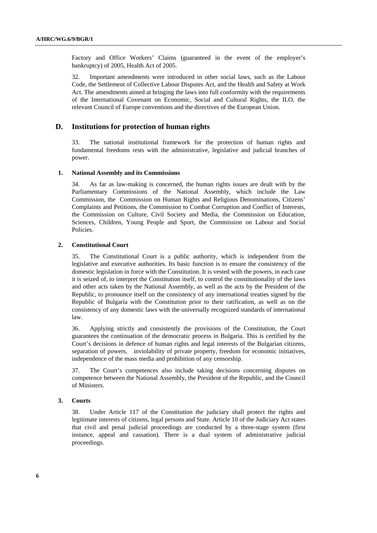Factory and Office Workers' Claims (guaranteed in the event of the employer's bankruptcy) of 2005, Health Act of 2005.

32. Important amendments were introduced in other social laws, such as the Labour Code, the Settlement of Collective Labour Disputes Act, and the Health and Safety at Work Act. The amendments aimed at bringing the laws into full conformity with the requirements of the International Covenant on Economic, Social and Cultural Rights, the ILO, the relevant Council of Europe conventions and the directives of the European Union.

### **D. Institutions for protection of human rights**

33. The national institutional framework for the protection of human rights and fundamental freedoms rests with the administrative, legislative and judicial branches of power.

#### **1. National Assembly and its Commissions**

34. As far as law-making is concerned, the human rights issues are dealt with by the Parliamentary Commissions of the National Assembly, which include the Law Commission, the Commission on Human Rights and Religious Denominations, Citizens' Complaints and Petitions, the Commission to Combat Corruption and Conflict of Interests, the Commission on Culture, Civil Society and Media, the Commission on Education, Sciences, Children, Young People and Sport, the Commission on Labour and Social Policies.

#### **2. Constitutional Court**

35. The Constitutional Court is a public authority, which is independent from the legislative and executive authorities. Its basic function is to ensure the consistency of the domestic legislation in force with the Constitution. It is vested with the powers, in each case it is seized of, to interpret the Constitution itself, to control the constitutionality of the laws and other acts taken by the National Assembly, as well as the acts by the President of the Republic, to pronounce itself on the consistency of any international treaties signed by the Republic of Bulgaria with the Constitution prior to their ratification, as well as on the consistency of any domestic laws with the universally recognized standards of international law.

36. Applying strictly and consistently the provisions of the Constitution, the Court guarantees the continuation of the democratic process in Bulgaria. This is certified by the Court's decisions in defence of human rights and legal interests of the Bulgarian citizens, separation of powers, inviolability of private property, freedom for economic initiatives, independence of the mass media and prohibition of any censorship.

37. The Court's competences also include taking decisions concerning disputes on competence between the National Assembly, the President of the Republic, and the Council of Ministers.

### **3. Courts**

38. Under Article 117 of the Constitution the judiciary shall protect the rights and legitimate interests of citizens, legal persons and State. Article 10 of the Judiciary Act states that civil and penal judicial proceedings are conducted by a three-stage system (first instance, appeal and cassation). There is a dual system of administrative judicial proceedings.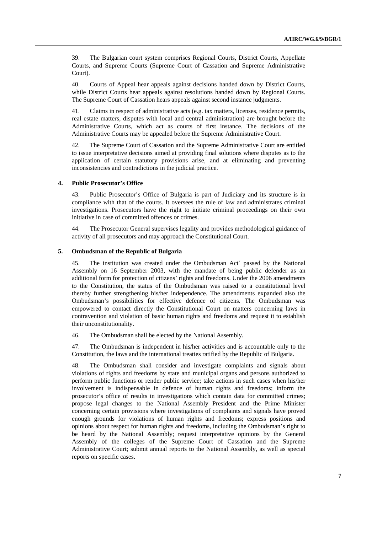39. The Bulgarian court system comprises Regional Courts, District Courts, Appellate Courts, and Supreme Courts (Supreme Court of Cassation and Supreme Administrative Court).

40. Courts of Appeal hear appeals against decisions handed down by District Courts, while District Courts hear appeals against resolutions handed down by Regional Courts. The Supreme Court of Cassation hears appeals against second instance judgments.

41. Claims in respect of administrative acts (e.g. tax matters, licenses, residence permits, real estate matters, disputes with local and central administration) are brought before the Administrative Courts, which act as courts of first instance. The decisions of the Administrative Courts may be appealed before the Supreme Administrative Court.

42. The Supreme Court of Cassation and the Supreme Administrative Court are entitled to issue interpretative decisions aimed at providing final solutions where disputes as to the application of certain statutory provisions arise, and at eliminating and preventing inconsistencies and contradictions in the judicial practice.

#### **4. Public Prosecutor's Office**

43. Public Prosecutor's Office of Bulgaria is part of Judiciary and its structure is in compliance with that of the courts. It oversees the rule of law and administrates criminal investigations. Prosecutors have the right to initiate criminal proceedings on their own initiative in case of committed offences or crimes.

44. The Prosecutor General supervises legality and provides methodological guidance of activity of all prosecutors and may approach the Constitutional Court.

#### **5. Ombudsman of the Republic of Bulgaria**

45. The institution was created under the Ombudsman  $Act<sup>7</sup>$  passed by the National Assembly on 16 September 2003, with the mandate of being public defender as an additional form for protection of citizens' rights and freedoms. Under the 2006 amendments to the Constitution, the status of the Ombudsman was raised to a constitutional level thereby further strengthening his/her independence. The amendments expanded also the Ombudsman's possibilities for effective defence of citizens. The Ombudsman was empowered to contact directly the Constitutional Court on matters concerning laws in contravention and violation of basic human rights and freedoms and request it to establish their unconstitutionality.

46. The Ombudsman shall be elected by the National Assembly.

47. The Ombudsman is independent in his/her activities and is accountable only to the Constitution, the laws and the international treaties ratified by the Republic of Bulgaria.

48. The Ombudsman shall consider and investigate complaints and signals about violations of rights and freedoms by state and municipal organs and persons authorized to perform public functions or render public service; take actions in such cases when his/her involvement is indispensable in defence of human rights and freedoms; inform the prosecutor's office of results in investigations which contain data for committed crimes; propose legal changes to the National Assembly President and the Prime Minister concerning certain provisions where investigations of complaints and signals have proved enough grounds for violations of human rights and freedoms; express positions and opinions about respect for human rights and freedoms, including the Ombudsman's right to be heard by the National Assembly; request interpretative opinions by the General Assembly of the colleges of the Supreme Court of Cassation and the Supreme Administrative Court; submit annual reports to the National Assembly, as well as special reports on specific cases.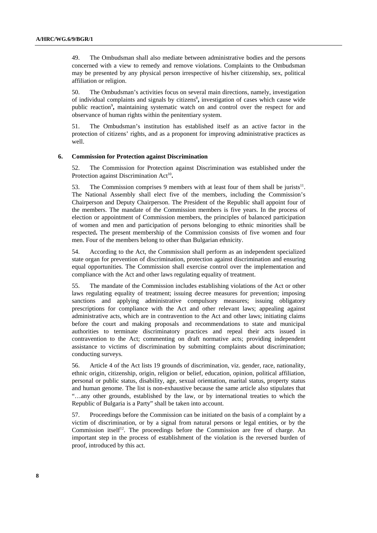49. The Ombudsman shall also mediate between administrative bodies and the persons concerned with a view to remedy and remove violations. Complaints to the Ombudsman may be presented by any physical person irrespective of his/her citizenship, sex, political affiliation or religion.

50. The Ombudsman's activities focus on several main directions, namely, investigation of individual complaints and signals by citizens<sup>8</sup>, investigation of cases which cause wide public reaction<sup>9</sup>, maintaining systematic watch on and control over the respect for and observance of human rights within the penitentiary system.

51. The Ombudsman's institution has established itself as an active factor in the protection of citizens' rights, and as a proponent for improving administrative practices as well.

#### **6. Commission for Protection against Discrimination**

52. The Commission for Protection against Discrimination was established under the Protection against Discrimination Act<sup>10</sup>.

53. The Commission comprises 9 members with at least four of them shall be jurists $11$ . The National Assembly shall elect five of the members, including the Commission's Chairperson and Deputy Chairperson. The President of the Republic shall appoint four of the members. The mandate of the Commission members is five years. In the process of election or appointment of Commission members, the principles of balanced participation of women and men and participation of persons belonging to ethnic minorities shall be respected**.** The present membership of the Commission consists of five women and four men. Four of the members belong to other than Bulgarian ethnicity.

54. According to the Act, the Commission shall perform as an independent specialized state organ for prevention of discrimination, protection against discrimination and ensuring equal opportunities. The Commission shall exercise control over the implementation and compliance with the Act and other laws regulating equality of treatment.

55. The mandate of the Commission includes establishing violations of the Act or other laws regulating equality of treatment; issuing decree measures for prevention; imposing sanctions and applying administrative compulsory measures; issuing obligatory prescriptions for compliance with the Act and other relevant laws; appealing against administrative acts, which are in contravention to the Act and other laws; initiating claims before the court and making proposals and recommendations to state and municipal authorities to terminate discriminatory practices and repeal their acts issued in contravention to the Act; commenting on draft normative acts; providing independent assistance to victims of discrimination by submitting complaints about discrimination; conducting surveys.

56. Article 4 of the Act lists 19 grounds of discrimination, viz. gender, race, nationality, ethnic origin, citizenship, origin, religion or belief, education, opinion, political affiliation, personal or public status, disability, age, sexual orientation, marital status, property status and human genome. The list is non-exhaustive because the same article also stipulates that "…any other grounds, established by the law, or by international treaties to which the Republic of Bulgaria is a Party" shall be taken into account.

57. Proceedings before the Commission can be initiated on the basis of a complaint by a victim of discrimination, or by a signal from natural persons or legal entities, or by the Commission itself<sup>12</sup>. The proceedings before the Commission are free of charge. An important step in the process of establishment of the violation is the reversed burden of proof, introduced by this act.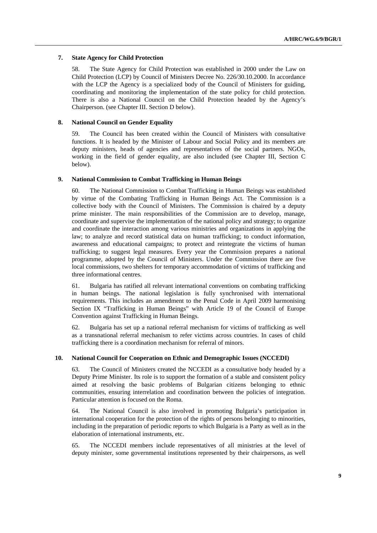### **7. State Agency for Child Protection**

58. The State Agency for Child Protection was established in 2000 under the Law on Child Protection (LCP) by Council of Ministers Decree No. 226/30.10.2000. In accordance with the LCP the Agency is a specialized body of the Council of Ministers for guiding, coordinating and monitoring the implementation of the state policy for child protection. There is also a National Council on the Child Protection headed by the Agency's Chairperson. (see Chapter III. Section D below).

#### **8. National Council on Gender Equality**

59. The Council has been created within the Council of Ministers with consultative functions. It is headed by the Minister of Labour and Social Policy and its members are deputy ministers, heads of agencies and representatives of the social partners. NGOs, working in the field of gender equality, are also included (see Chapter III, Section C below).

#### **9. National Commission to Combat Trafficking in Human Beings**

60. The National Commission to Combat Trafficking in Human Beings was established by virtue of the Combating Trafficking in Human Beings Act. The Commission is a collective body with the Council of Ministers. The Commission is chaired by a deputy prime minister. The main responsibilities of the Commission are to develop, manage, coordinate and supervise the implementation of the national policy and strategy; to organize and coordinate the interaction among various ministries and organizations in applying the law; to analyze and record statistical data on human trafficking; to conduct information, awareness and educational campaigns; to protect and reintegrate the victims of human trafficking; to suggest legal measures. Every year the Commission prepares a national programme, adopted by the Council of Ministers. Under the Commission there are five local commissions, two shelters for temporary accommodation of victims of trafficking and three informational centres.

61. Bulgaria has ratified all relevant international conventions on combating trafficking in human beings. The national legislation is fully synchronised with international requirements. This includes an amendment to the Penal Code in April 2009 harmonising Section IX "Trafficking in Human Beings" with Article 19 of the Council of Europe Convention against Trafficking in Human Beings.

62. Bulgaria has set up a national referral mechanism for victims of trafficking as well as a transnational referral mechanism to refer victims across countries. In cases of child trafficking there is a coordination mechanism for referral of minors.

#### **10. National Council for Cooperation on Ethnic and Demographic Issues (NCCEDI)**

63. The Council of Ministers created the NCCEDI as a consultative body headed by a Deputy Prime Minister. Its role is to support the formation of a stable and consistent policy aimed at resolving the basic problems of Bulgarian citizens belonging to ethnic communities, ensuring interrelation and coordination between the policies of integration. Particular attention is focused on the Roma.

64. The National Council is also involved in promoting Bulgaria's participation in international cooperation for the protection of the rights of persons belonging to minorities, including in the preparation of periodic reports to which Bulgaria is a Party as well as in the elaboration of international instruments, etc.

65. The NCCEDI members include representatives of all ministries at the level of deputy minister, some governmental institutions represented by their chairpersons, as well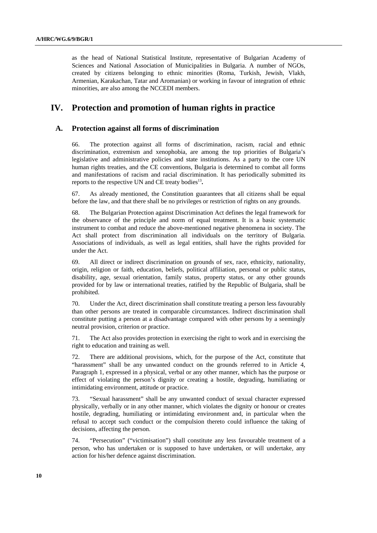as the head of National Statistical Institute, representative of Bulgarian Academy of Sciences and National Association of Municipalities in Bulgaria. A number of NGOs, created by citizens belonging to ethnic minorities (Roma, Turkish, Jewish, Vlakh, Armenian, Karakachan, Tatar and Aromanian) or working in favour of integration of ethnic minorities, are also among the NCCEDI members.

# **IV. Protection and promotion of human rights in practice**

## **A. Protection against all forms of discrimination**

66. The protection against all forms of discrimination, racism, racial and ethnic discrimination, extremism and xenophobia, are among the top priorities of Bulgaria's legislative and administrative policies and state institutions. As a party to the core UN human rights treaties, and the CE conventions, Bulgaria is determined to combat all forms and manifestations of racism and racial discrimination. It has periodically submitted its reports to the respective UN and CE treaty bodies<sup>13</sup>.

67. As already mentioned, the Constitution guarantees that all citizens shall be equal before the law, and that there shall be no privileges or restriction of rights on any grounds.

68. The Bulgarian Protection against Discrimination Act defines the legal framework for the observance of the principle and norm of equal treatment. It is a basic systematic instrument to combat and reduce the above-mentioned negative phenomena in society. The Act shall protect from discrimination all individuals on the territory of Bulgaria. Associations of individuals, as well as legal entities, shall have the rights provided for under the Act.

69. All direct or indirect discrimination on grounds of sex, race, ethnicity, nationality, origin, religion or faith, education, beliefs, political affiliation, personal or public status, disability, age, sexual orientation, family status, property status, or any other grounds provided for by law or international treaties, ratified by the Republic of Bulgaria, shall be prohibited.

70. Under the Act, direct discrimination shall constitute treating a person less favourably than other persons are treated in comparable circumstances. Indirect discrimination shall constitute putting a person at a disadvantage compared with other persons by a seemingly neutral provision, criterion or practice.

71. The Act also provides protection in exercising the right to work and in exercising the right to education and training as well.

72. There are additional provisions, which, for the purpose of the Act, constitute that "harassment" shall be any unwanted conduct on the grounds referred to in Article 4, Paragraph 1, expressed in a physical, verbal or any other manner, which has the purpose or effect of violating the person's dignity or creating a hostile, degrading, humiliating or intimidating environment, attitude or practice.

73. "Sexual harassment" shall be any unwanted conduct of sexual character expressed physically, verbally or in any other manner, which violates the dignity or honour or creates hostile, degrading, humiliating or intimidating environment and, in particular when the refusal to accept such conduct or the compulsion thereto could influence the taking of decisions, affecting the person.

74. "Persecution" ("victimisation") shall constitute any less favourable treatment of a person, who has undertaken or is supposed to have undertaken, or will undertake, any action for his/her defence against discrimination.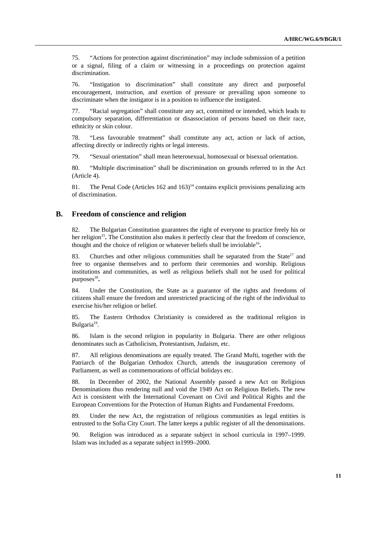75. "Actions for protection against discrimination" may include submission of a petition or a signal, filing of a claim or witnessing in a proceedings on protection against discrimination.

76. "Instigation to discrimination" shall constitute any direct and purposeful encouragement, instruction, and exertion of pressure or prevailing upon someone to discriminate when the instigator is in a position to influence the instigated.

77. "Racial segregation" shall constitute any act, committed or intended, which leads to compulsory separation, differentiation or disassociation of persons based on their race, ethnicity or skin colour.

78. "Less favourable treatment" shall constitute any act, action or lack of action, affecting directly or indirectly rights or legal interests.

79. "Sexual orientation" shall mean heterosexual, homosexual or bisexual orientation.

80. "Multiple discrimination" shall be discrimination on grounds referred to in the Act (Article 4).

81. The Penal Code (Articles  $162$  and  $163$ )<sup>14</sup> contains explicit provisions penalizing acts of discrimination.

## **B. Freedom of conscience and religion**

82. The Bulgarian Constitution guarantees the right of everyone to practice freely his or her religion<sup>15</sup>. The Constitution also makes it perfectly clear that the freedom of conscience, thought and the choice of religion or whatever beliefs shall be inviolable<sup>16</sup>.

83. Churches and other religious communities shall be separated from the State<sup>17</sup> and free to organise themselves and to perform their ceremonies and worship. Religious institutions and communities, as well as religious beliefs shall not be used for political purposes<sup>18</sup>.

84. Under the Constitution, the State as a guarantor of the rights and freedoms of citizens shall ensure the freedom and unrestricted practicing of the right of the individual to exercise his/her religion or belief.

85. The Eastern Orthodox Christianity is considered as the traditional religion in Bulgaria $19$ .

86. Islam is the second religion in popularity in Bulgaria. There are other religious denominates such as Catholicism, Protestantism, Judaism, etc.

87. All religious denominations are equally treated. The Grand Mufti, together with the Patriarch of the Bulgarian Orthodox Church, attends the inauguration ceremony of Parliament, as well as commemorations of official holidays etc.

88. In December of 2002, the National Assembly passed a new Act on Religious Denominations thus rendering null and void the 1949 Act on Religious Beliefs. The new Act is consistent with the International Covenant on Civil and Political Rights and the European Conventions for the Protection of Human Rights and Fundamental Freedoms.

89. Under the new Act, the registration of religious communities as legal entities is entrusted to the Sofia City Court. The latter keeps a public register of all the denominations.

90. Religion was introduced as a separate subject in school curricula in 1997–1999. Islam was included as a separate subject in1999–2000.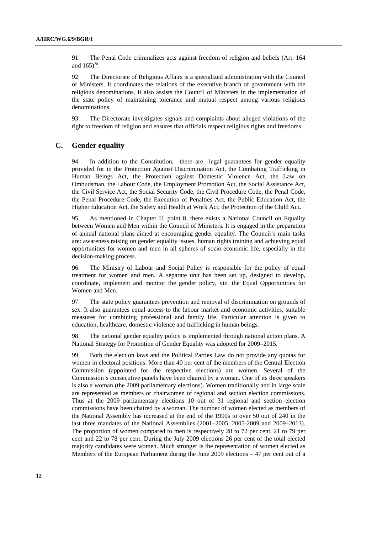91. The Penal Code criminalizes acts against freedom of religion and beliefs (Art. 164 and  $165)^{20}$ .

92. The Directorate of Religious Affairs is a specialized administration with the Council of Ministers. It coordinates the relations of the executive branch of government with the religious denominations. It also assists the Council of Ministers in the implementation of the state policy of maintaining tolerance and mutual respect among various religious denominations.

93. The Directorate investigates signals and complaints about alleged violations of the right to freedom of religion and ensures that officials respect religious rights and freedoms.

## **C. Gender equality**

94. In addition to the Constitution, there are legal guarantees for gender equality provided for in the Protection Against Discrimination Act, the Combating Trafficking in Human Beings Act, the Protection against Domestic Violence Act, the Law on Ombudsman, the Labour Code, the Employment Promotion Act, the Social Assistance Act, the Civil Service Act, the Social Security Code, the Civil Procedure Code, the Penal Code, the Penal Procedure Code, the Execution of Penalties Act, the Public Education Act, the Higher Education Act, the Safety and Health at Work Act, the Protection of the Child Act**.** 

95. As mentioned in Chapter II, point 8, there exists a National Council on Equality between Women and Men within the Council of Ministers. It is engaged in the preparation of annual national plans aimed at encouraging gender equality. The Council's main tasks are: awareness raising on gender equality issues, human rights training and achieving equal opportunities for women and men in all spheres of socio-economic life, especially in the decision-making process.

96. The Ministry of Labour and Social Policy is responsible for the policy of equal treatment for women and men. A separate unit has been set up, designed to develop, coordinate, implement and monitor the gender policy, viz. the Equal Opportunities for Women and Men.

97. The state policy guarantees prevention and removal of discrimination on grounds of sex. It also guarantees equal access to the labour market and economic activities, suitable measures for combining professional and family life. Particular attention is given to education, healthcare, domestic violence and trafficking in human beings.

98. The national gender equality policy is implemented through national action plans. A National Strategy for Promotion of Gender Equality was adopted for 2009–2015.

99. Both the election laws and the Political Parties Law do not provide any quotas for women in electoral positions. More than 40 per cent of the members of the Central Election Commission (appointed for the respective elections) are women. Several of the Commission's consecutive panels have been chaired by a woman. One of its three speakers is also a woman (the 2009 parliamentary elections). Women traditionally and in large scale are represented as members or chairwomen of regional and section election commissions. Thus at the 2009 parliamentary elections 10 out of 31 regional and section election commissions have been chaired by a woman. The number of women elected as members of the National Assembly has increased at the end of the 1990s to over 50 out of 240 in the last three mandates of the National Assemblies (2001–2005, 2005-2009 and 2009–2013). The proportion of women compared to men is respectively 28 to 72 per cent, 21 to 79 per cent and 22 to 78 per cent. During the July 2009 elections 26 per cent of the total elected majority candidates were women. Much stronger is the representation of women elected as Members of the European Parliament during the June 2009 elections – 47 per cent out of a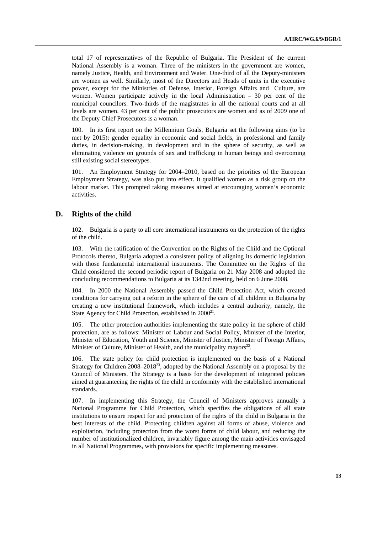total 17 of representatives of the Republic of Bulgaria. The President of the current National Assembly is a woman. Three of the ministers in the government are women, namely Justice, Health, and Environment and Water. One-third of all the Deputy-ministers are women as well. Similarly, most of the Directors and Heads of units in the executive power, except for the Ministries of Defense, Interior, Foreign Affairs and Culture, are women. Women participate actively in the local Administration  $-30$  per cent of the municipal councilors. Two-thirds of the magistrates in all the national courts and at all levels are women. 43 per cent of the public prosecutors are women and as of 2009 one of the Deputy Chief Prosecutors is a woman.

100. In its first report on the Millennium Goals, Bulgaria set the following aims (to be met by 2015): gender equality in economic and social fields, in professional and family duties, in decision-making, in development and in the sphere of security, as well as eliminating violence on grounds of sex and trafficking in human beings and overcoming still existing social stereotypes.

101. An Employment Strategy for 2004–2010, based on the priorities of the European Employment Strategy, was also put into effect. It qualified women as a risk group on the labour market. This prompted taking measures aimed at encouraging women's economic activities.

## **D. Rights of the child**

102. Bulgaria is a party to all core international instruments on the protection of the rights of the child.

103. With the ratification of the Convention on the Rights of the Child and the Optional Protocols thereto, Bulgaria adopted a consistent policy of aligning its domestic legislation with those fundamental international instruments. The Committee on the Rights of the Child considered the second periodic report of Bulgaria on 21 May 2008 and adopted the concluding recommendations to Bulgaria at its 1342nd meeting, held on 6 June 2008.

104. In 2000 the National Assembly passed the Child Protection Act, which created conditions for carrying out a reform in the sphere of the care of all children in Bulgaria by creating a new institutional framework, which includes a central authority, namely, the State Agency for Child Protection, established in  $2000^{21}$ .

105. The other protection authorities implementing the state policy in the sphere of child protection, are as follows: Minister of Labour and Social Policy, Minister of the Interior, Minister of Education, Youth and Science, Minister of Justice, Minister of Foreign Affairs, Minister of Culture, Minister of Health, and the municipality mayors $2^2$ .

106. The state policy for child protection is implemented on the basis of a National Strategy for Children 2008–201823, adopted by the National Assembly on a proposal by the Council of Ministers. The Strategy is a basis for the development of integrated policies aimed at guaranteeing the rights of the child in conformity with the established international standards.

107. In implementing this Strategy, the Council of Ministers approves annually a National Programme for Child Protection, which specifies the obligations of all state institutions to ensure respect for and protection of the rights of the child in Bulgaria in the best interests of the child. Protecting children against all forms of abuse, violence and exploitation, including protection from the worst forms of child labour, and reducing the number of institutionalized children, invariably figure among the main activities envisaged in all National Programmes, with provisions for specific implementing measures.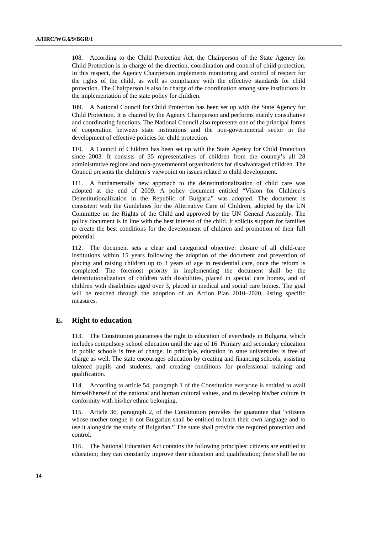108. According to the Child Protection Act, the Chairperson of the State Agency for Child Protection is in charge of the direction, coordination and control of child protection. In this respect, the Agency Chairperson implements monitoring and control of respect for the rights of the child, as well as compliance with the effective standards for child protection. The Chairperson is also in charge of the coordination among state institutions in the implementation of the state policy for children.

109. A National Council for Child Protection has been set up with the State Agency for Child Protection. It is chaired by the Agency Chairperson and performs mainly consultative and coordinating functions. The National Council also represents one of the principal forms of cooperation between state institutions and the non-governmental sector in the development of effective policies for child protection.

110. A Council of Children has been set up with the State Agency for Child Protection since 2003. It consists of 35 representatives of children from the country's all 28 administrative regions and non-governmental organizations for disadvantaged children. The Council presents the children's viewpoint on issues related to child development.

111. A fundamentally new approach to the deinstitutionalization of child care was adopted at the end of 2009. A policy document entitled "Vision for Children's Deinstitutionalization in the Republic of Bulgaria" was adopted. The document is consistent with the Guidelines for the Alternative Care of Children, adopted by the UN Committee on the Rights of the Child and approved by the UN General Assembly. The policy document is in line with the best interest of the child. It solicits support for families to create the best conditions for the development of children and promotion of their full potential.

112. The document sets a clear and categorical objective: closure of all child-care institutions within 15 years following the adoption of the document and prevention of placing and raising children up to 3 years of age in residential care, once the reform is completed. The foremost priority in implementing the document shall be the deinstitutionalization of children with disabilities, placed in special care homes, and of children with disabilities aged over 3, placed in medical and social care homes. The goal will be reached through the adoption of an Action Plan 2010–2020, listing specific measures.

## **E. Right to education**

113. The Constitution guarantees the right to education of everybody in Bulgaria, which includes compulsory school education until the age of 16. Primary and secondary education in public schools is free of charge. In principle, education in state universities is free of charge as well. The state encourages education by creating and financing schools, assisting talented pupils and students, and creating conditions for professional training and qualification.

114. According to article 54, paragraph 1 of the Constitution everyone is entitled to avail himself/herself of the national and human cultural values, and to develop his/her culture in conformity with his/her ethnic belonging.

115. Article 36, paragraph 2, of the Constitution provides the guarantee that "citizens whose mother tongue is not Bulgarian shall be entitled to learn their own language and to use it alongside the study of Bulgarian." The state shall provide the required protection and control.

116. The National Education Act contains the following principles: citizens are entitled to education; they can constantly improve their education and qualification; there shall be no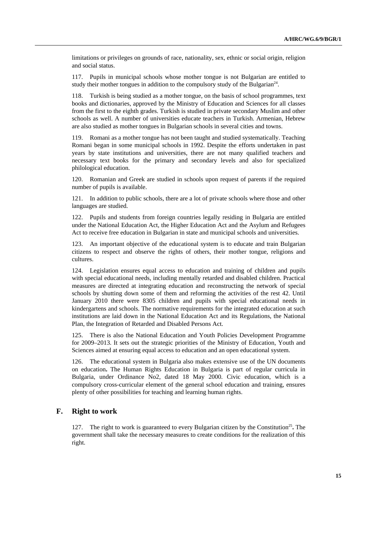limitations or privileges on grounds of race, nationality, sex, ethnic or social origin, religion and social status.

117. Pupils in municipal schools whose mother tongue is not Bulgarian are entitled to study their mother tongues in addition to the compulsory study of the Bulgarian<sup>24</sup>.

118. Turkish is being studied as a mother tongue, on the basis of school programmes, text books and dictionaries, approved by the Ministry of Education and Sciences for all classes from the first to the eighth grades. Turkish is studied in private secondary Muslim and other schools as well. A number of universities educate teachers in Turkish. Armenian, Hebrew are also studied as mother tongues in Bulgarian schools in several cities and towns.

119. Romani as a mother tongue has not been taught and studied systematically. Teaching Romani began in some municipal schools in 1992. Despite the efforts undertaken in past years by state institutions and universities, there are not many qualified teachers and necessary text books for the primary and secondary levels and also for specialized philological education.

120. Romanian and Greek are studied in schools upon request of parents if the required number of pupils is available.

121. In addition to public schools, there are a lot of private schools where those and other languages are studied.

122. Pupils and students from foreign countries legally residing in Bulgaria are entitled under the National Education Act, the Higher Education Act and the Asylum and Refugees Act to receive free education in Bulgarian in state and municipal schools and universities.

123. An important objective of the educational system is to educate and train Bulgarian citizens to respect and observe the rights of others, their mother tongue, religions and cultures.

124. Legislation ensures equal access to education and training of children and pupils with special educational needs, including mentally retarded and disabled children. Practical measures are directed at integrating education and reconstructing the network of special schools by shutting down some of them and reforming the activities of the rest 42. Until January 2010 there were 8305 children and pupils with special educational needs in kindergartens and schools. The normative requirements for the integrated education at such institutions are laid down in the National Education Act and its Regulations, the National Plan, the Integration of Retarded and Disabled Persons Act.

125. There is also the National Education and Youth Policies Development Programme for 2009–2013. It sets out the strategic priorities of the Ministry of Education, Youth and Sciences aimed at ensuring equal access to education and an open educational system.

126. The educational system in Bulgaria also makes extensive use of the UN documents on education**.** The Human Rights Education in Bulgaria is part of regular curricula in Bulgaria, under Ordinance No2, dated 18 May 2000. Civic education, which is a compulsory cross-curricular element of the general school education and training, ensures plenty of other possibilities for teaching and learning human rights.

## **F. Right to work**

127. The right to work is guaranteed to every Bulgarian citizen by the Constitution<sup>25</sup>. The government shall take the necessary measures to create conditions for the realization of this right.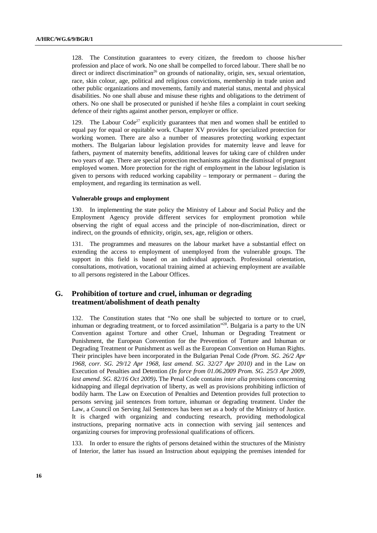128. The Constitution guarantees to every citizen, the freedom to choose his/her profession and place of work. No one shall be compelled to forced labour. There shall be no direct or indirect discrimination<sup>26</sup> on grounds of nationality, origin, sex, sexual orientation, race, skin colour, age, political and religious convictions, membership in trade union and other public organizations and movements, family and material status, mental and physical disabilities. No one shall abuse and misuse these rights and obligations to the detriment of others. No one shall be prosecuted or punished if he/she files a complaint in court seeking defence of their rights against another person, employer or office.

129. The Labour Code<sup>27</sup> explicitly guarantees that men and women shall be entitled to equal pay for equal or equitable work. Chapter XV provides for specialized protection for working women. There are also a number of measures protecting working expectant mothers. The Bulgarian labour legislation provides for maternity leave and leave for fathers, payment of maternity benefits, additional leaves for taking care of children under two years of age. There are special protection mechanisms against the dismissal of pregnant employed women. More protection for the right of employment in the labour legislation is given to persons with reduced working capability – temporary or permanent – during the employment, and regarding its termination as well.

### **Vulnerable groups and employment**

130. In implementing the state policy the Ministry of Labour and Social Policy and the Employment Agency provide different services for employment promotion while observing the right of equal access and the principle of non-discrimination, direct or indirect, on the grounds of ethnicity, origin, sex, age, religion or others.

131. The programmes and measures on the labour market have a substantial effect on extending the access to employment of unemployed from the vulnerable groups. The support in this field is based on an individual approach. Professional orientation, consultations, motivation, vocational training aimed at achieving employment are available to all persons registered in the Labour Offices.

# **G. Prohibition of torture and cruel, inhuman or degrading treatment/abolishment of death penalty**

132. The Constitution states that "No one shall be subjected to torture or to cruel, inhuman or degrading treatment, or to forced assimilation"<sup>28</sup>. Bulgaria is a party to the UN Convention against Torture and other Cruel, Inhuman or Degrading Treatment or Punishment, the European Convention for the Prevention of Torture and Inhuman or Degrading Treatment or Punishment as well as the European Convention on Human Rights. Their principles have been incorporated in the Bulgarian Penal Code *(Prom. SG. 26/2 Apr 1968, corr. SG. 29/12 Apr 1968, last amend. SG. 32/27 Apr 2010)* and in the Law on Execution of Penalties and Detention *(In force from 01.06.2009 Prom. SG. 25/3 Apr 2009, last amend. SG. 82/16 Oct 2009)***.** The Penal Code contains *inter alia* provisions concerning kidnapping and illegal deprivation of liberty, as well as provisions prohibiting infliction of bodily harm. The Law on Execution of Penalties and Detention provides full protection to persons serving jail sentences from torture, inhuman or degrading treatment. Under the Law, a Council on Serving Jail Sentences has been set as a body of the Ministry of Justice. It is charged with organizing and conducting research, providing methodological instructions, preparing normative acts in connection with serving jail sentences and organizing courses for improving professional qualifications of officers.

133. In order to ensure the rights of persons detained within the structures of the Ministry of Interior, the latter has issued an Instruction about equipping the premises intended for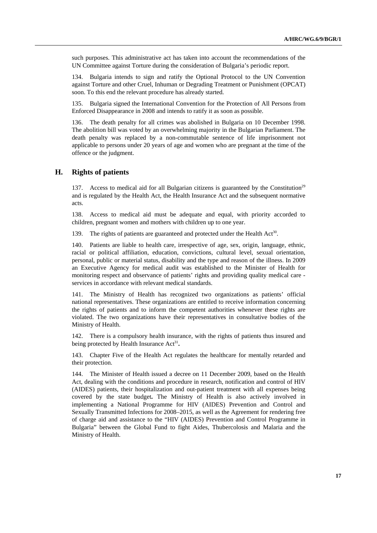such purposes. This administrative act has taken into account the recommendations of the UN Committee against Torture during the consideration of Bulgaria's periodic report.

134. Bulgaria intends to sign and ratify the Optional Protocol to the UN Convention against Torture and other Cruel, Inhuman or Degrading Treatment or Punishment (OPCAT) soon. To this end the relevant procedure has already started.

135. Bulgaria signed the International Convention for the Protection of All Persons from Enforced Disappearance in 2008 and intends to ratify it as soon as possible.

136. The death penalty for all crimes was abolished in Bulgaria on 10 December 1998. The abolition bill was voted by an overwhelming majority in the Bulgarian Parliament. The death penalty was replaced by a non-commutable sentence of life imprisonment not applicable to persons under 20 years of age and women who are pregnant at the time of the offence or the judgment.

## **H. Rights of patients**

137. Access to medical aid for all Bulgarian citizens is guaranteed by the Constitution<sup>29</sup> and is regulated by the Health Act, the Health Insurance Act and the subsequent normative acts.

138. Access to medical aid must be adequate and equal, with priority accorded to children, pregnant women and mothers with children up to one year.

139. The rights of patients are guaranteed and protected under the Health Act<sup>30</sup>.

140. Patients are liable to health care, irrespective of age, sex, origin, language, ethnic, racial or political affiliation, education, convictions, cultural level, sexual orientation, personal, public or material status, disability and the type and reason of the illness. In 2009 an Executive Agency for medical audit was established to the Minister of Health for monitoring respect and observance of patients' rights and providing quality medical care services in accordance with relevant medical standards.

141. The Ministry of Health has recognized two organizations as patients' official national representatives. These organizations are entitled to receive information concerning the rights of patients and to inform the competent authorities whenever these rights are violated. The two organizations have their representatives in consultative bodies of the Ministry of Health.

142. There is a compulsory health insurance, with the rights of patients thus insured and being protected by Health Insurance Act<sup>31</sup>.

143. Chapter Five of the Health Act regulates the healthcare for mentally retarded and their protection.

144. The Minister of Health issued a decree on 11 December 2009, based on the Health Act, dealing with the conditions and procedure in research, notification and control of HIV (AIDES) patients, their hospitalization and out-patient treatment with all expenses being covered by the state budget**.** The Ministry of Health is also actively involved in implementing a National Programme for HIV (AIDES) Prevention and Control and Sexually Transmitted Infections for 2008–2015, as well as the Agreement for rendering free of charge aid and assistance to the "HIV (AIDES) Prevention and Control Programme in Bulgaria" between the Global Fund to fight Aides, Thubercolosis and Malaria and the Ministry of Health.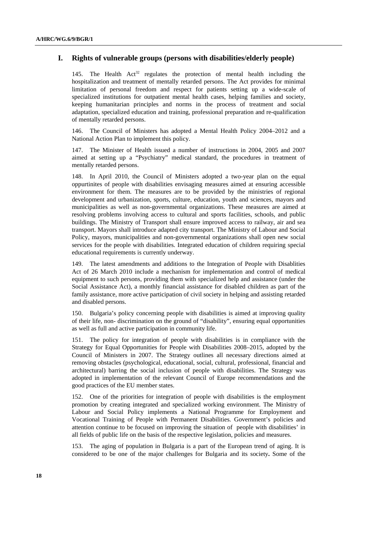# **I. Rights of vulnerable groups (persons with disabilities/elderly people)**

145. The Health  $Act^{32}$  regulates the protection of mental health including the hospitalization and treatment of mentally retarded persons. The Act provides for minimal limitation of personal freedom and respect for patients setting up a wide-scale of specialized institutions for outpatient mental health cases, helping families and society, keeping humanitarian principles and norms in the process of treatment and social adaptation, specialized education and training, professional preparation and re-qualification of mentally retarded persons.

146. The Council of Ministers has adopted a Mental Health Policy 2004–2012 and a National Action Plan to implement this policy.

147. The Minister of Health issued a number of instructions in 2004, 2005 and 2007 aimed at setting up a "Psychiatry" medical standard, the procedures in treatment of mentally retarded persons.

148. In April 2010, the Council of Ministers adopted a two-year plan on the equal oppurtinites of people with disabilities envisaging measures aimed at ensuring accessible environment for them. The measures are to be provided by the ministries of regional development and urbanization, sports, culture, education, youth and sciences, mayors and municipalities as well as non-governmental organizations. These measures are aimed at resolving problems involving access to cultural and sports facilities, schools, and public buildings. The Ministry of Transport shall ensure improved access to railway, air and sea transport. Mayors shall introduce adapted city transport. The Ministry of Labour and Social Policy, mayors, municipalities and non-governmental organizations shall open new social services for the people with disabilities. Integrated education of children requiring special educational requirements is currently underway.

149. The latest amendments and additions to the Integration of People with Disablities Act of 26 March 2010 include a mechanism for implementation and control of medical equipment to such persons, providing them with specialized help and assistance (under the Social Assistance Act), a monthly financial assistance for disabled children as part of the family assistance, more active participation of civil society in helping and assisting retarded and disabled persons.

150. Bulgaria's policy concerning people with disabilities is aimed at improving quality of their life, non- discrimination on the ground of "disability", ensuring equal opportunities as well as full and active participation in community life.

151. The policy for integration of people with disabilities is in compliance with the Strategy for Equal Opportunities for People with Disabilities 2008–2015, adopted by the Council of Ministers in 2007. The Strategy outlines all necessary directions aimed at removing obstacles (psychological, educational, social, cultural, professional, financial and architectural) barring the social inclusion of people with disabilities. The Strategy was adopted in implementation of the relevant Council of Europe recommendations and the good practices of the EU member states.

152. One of the priorities for integration of people with disabilities is the employment promotion by creating integrated and specialized working environment. The Ministry of Labour and Social Policy implements a National Programme for Employment and Vocational Training of People with Permanent Disabilities. Government's policies and attention continue to be focused on improving the situation of people with disabilities' in all fields of public life on the basis of the respective legislation, policies and measures.

153. The aging of population in Bulgaria is a part of the European trend of aging. It is considered to be one of the major challenges for Bulgaria and its society**.** Some of the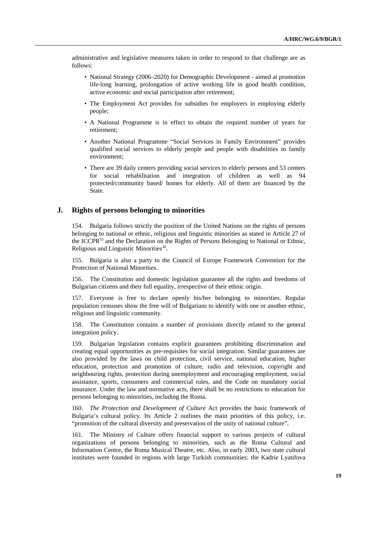administrative and legislative measures taken in order to respond to that challenge are as follows:

- National Strategy (2006–2020) for Demographic Development aimed at promotion life-long learning, prolongation of active working life in good health condition, active economic and social participation after retirement;
- The Employment Act provides for subsidies for employers in employing elderly people;
- A National Programme is in effect to obtain the required number of years for retirement;
- Another National Programme "Social Services in Family Environment" provides qualified social services to elderly people and people with disabilities in family environment;
- There are 39 daily centers providing social services to elderly persons and 53 centers for social rehabilitation and integration of children as well as 94 protected/community based/ homes for elderly. All of them are financed by the State.

### **J. Rights of persons belonging to minorities**

154. Bulgaria follows strictly the position of the United Nations on the rights of persons belonging to national or ethnic, religious and linguistic minorities as stated in Article 27 of the ICCPR $^{33}$  and the Declaration on the Rights of Persons Belonging to National or Ethnic, Religious and Linguistic Minorities<sup>34</sup>.

155. Bulgaria is also a party to the Council of Europe Framework Convention for the Protection of National Minorities.

156. The Constitution and domestic legislation guarantee all the rights and freedoms of Bulgarian citizens and their full equality, irrespective of their ethnic origin.

157. Everyone is free to declare openly his/her belonging to minorities. Regular population censuses show the free will of Bulgarians to identify with one or another ethnic, religious and linguistic community.

158. The Constitution contains a number of provisions directly related to the general integration policy.

159. Bulgarian legislation contains explicit guarantees prohibiting discrimination and creating equal opportunities as pre-requisites for social integration. Similar guarantees are also provided by the laws on child protection, civil service, national education, higher education, protection and promotion of culture, radio and television, copyright and neighbouring rights, protection during unemployment and encouraging employment, social assistance, sports, consumers and commercial rules, and the Code on mandatory social insurance. Under the law and normative acts, there shall be no restrictions to education for persons belonging to minorities, including the Roma.

160. *The Protection and Development of Culture* Act provides the basic framework of Bulgaria's cultural policy. Its Article 2 outlines the main priorities of this policy, i.e. "promotion of the cultural diversity and preservation of the unity of national culture".

161. The Ministry of Culture offers financial support to various projects of cultural organizations of persons belonging to minorities, such as the Roma Cultural and Information Centre, the Roma Musical Theatre, etc. Also, in early 2003, two state cultural institutes were founded in regions with large Turkish communities: the Kadrie Lyatifova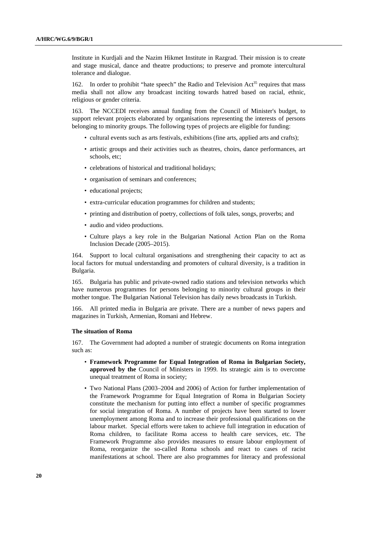Institute in Kurdjali and the Nazim Hikmet Institute in Razgrad. Their mission is to create and stage musical, dance and theatre productions; to preserve and promote intercultural tolerance and dialogue.

162. In order to prohibit "hate speech" the Radio and Television Act<sup>35</sup> requires that mass media shall not allow any broadcast inciting towards hatred based on racial, ethnic, religious or gender criteria.

163. The NCCEDI receives annual funding from the Council of Minister's budget, to support relevant projects elaborated by organisations representing the interests of persons belonging to minority groups. The following types of projects are eligible for funding:

- cultural events such as arts festivals, exhibitions (fine arts, applied arts and crafts);
- artistic groups and their activities such as theatres, choirs, dance performances, art schools, etc;
- celebrations of historical and traditional holidays;
- organisation of seminars and conferences;
- educational projects;
- extra-curricular education programmes for children and students;
- printing and distribution of poetry, collections of folk tales, songs, proverbs; and
- audio and video productions.
- Culture plays a key role in the Bulgarian National Action Plan on the Roma Inclusion Decade (2005–2015).

164. Support to local cultural organisations and strengthening their capacity to act as local factors for mutual understanding and promoters of cultural diversity, is a tradition in Bulgaria.

165. Bulgaria has public and private-owned radio stations and television networks which have numerous programmes for persons belonging to minority cultural groups in their mother tongue. The Bulgarian National Television has daily news broadcasts in Turkish.

166. All printed media in Bulgaria are private. There are a number of news papers and magazines in Turkish, Armenian, Romani and Hebrew.

#### **The situation of Roma**

167. The Government had adopted a number of strategic documents on Roma integration such as:

- **Framework Programme for Equal Integration of Roma in Bulgarian Society, approved by the** Council of Ministers in 1999. Its strategic aim is to overcome unequal treatment of Roma in society;
- Two National Plans (2003–2004 and 2006) of Action for further implementation of the Framework Programme for Equal Integration of Roma in Bulgarian Society constitute the mechanism for putting into effect a number of specific programmes for social integration of Roma. A number of projects have been started to lower unemployment among Roma and to increase their professional qualifications on the labour market. Special efforts were taken to achieve full integration in education of Roma children, to facilitate Roma access to health care services, etc. The Framework Programme also provides measures to ensure labour employment of Roma, reorganize the so-called Roma schools and react to cases of racist manifestations at school. There are also programmes for literacy and professional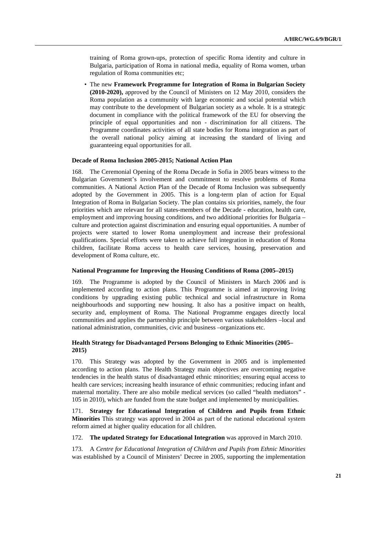training of Roma grown-ups, protection of specific Roma identity and culture in Bulgaria, participation of Roma in national media, equality of Roma women, urban regulation of Roma communities etc;

• The new **Framework Programme for Integration of Roma in Bulgarian Society (2010-2020),** approved by the Council of Ministers on 12 May 2010, considers the Roma population as a community with large economic and social potential which may contribute to the development of Bulgarian society as a whole. It is a strategic document in compliance with the political framework of the EU for observing the principle of equal opportunities and non - discrimination for all citizens. The Programme coordinates activities of all state bodies for Roma integration as part of the overall national policy aiming at increasing the standard of living and guaranteeing equal opportunities for all.

#### **Decade of Roma Inclusion 2005-2015; National Action Plan**

168. The Ceremonial Opening of the Roma Decade in Sofia in 2005 bears witness to the Bulgarian Government's involvement and commitment to resolve problems of Roma communities. A National Action Plan of the Decade of Roma Inclusion was subsequently adopted by the Government in 2005. This is a long-term plan of action for Equal Integration of Roma in Bulgarian Society. The plan contains six priorities, namely, the four priorities which are relevant for all states-members of the Decade - education, health care, employment and improving housing conditions, and two additional priorities for Bulgaria – culture and protection against discrimination and ensuring equal opportunities. A number of projects were started to lower Roma unemployment and increase their professional qualifications. Special efforts were taken to achieve full integration in education of Roma children, facilitate Roma access to health care services, housing, preservation and development of Roma culture, etc.

### **National Programme for Improving the Housing Conditions of Roma (2005–2015)**

169. The Programme is adopted by the Council of Ministers in March 2006 and is implemented according to action plans. This Programme is aimed at improving living conditions by upgrading existing public technical and social infrastructure in Roma neighbourhoods and supporting new housing. It also has a positive impact on health, security and, employment of Roma. The National Programme engages directly local communities and applies the partnership principle between various stakeholders –local and national administration, communities, civic and business –organizations etc.

### **Health Strategy for Disadvantaged Persons Belonging to Ethnic Minorities (2005– 2015)**

170. This Strategy was adopted by the Government in 2005 and is implemented according to action plans. The Health Strategy main objectives are overcoming negative tendencies in the health status of disadvantaged ethnic minorities; ensuring equal access to health care services; increasing health insurance of ethnic communities; reducing infant and maternal mortality. There are also mobile medical services (so called "health mediators" - 105 in 2010), which are funded from the state budget and implemented by municipalities.

171. **Strategy for Educational Integration of Children and Pupils from Ethnic Minorities** This strategy was approved in 2004 as part of the national educational system reform aimed at higher quality education for all children.

#### 172. **The updated Strategy for Educational Integration** was approved in March 2010.

173. A *Centre for Educational Integration of Children and Pupils from Ethnic Minorities* was established by a Council of Ministers' Decree in 2005, supporting the implementation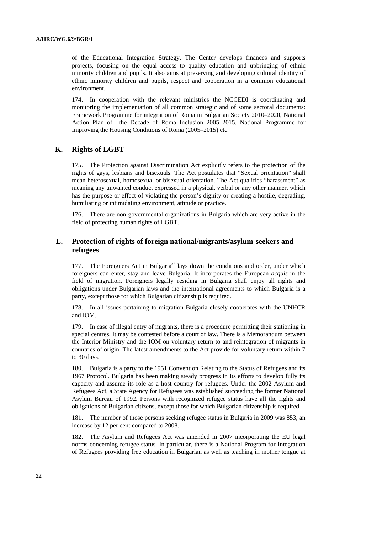of the Educational Integration Strategy. The Center develops finances and supports projects, focusing on the equal access to quality education and upbringing of ethnic minority children and pupils. It also aims at preserving and developing cultural identity of ethnic minority children and pupils, respect and cooperation in a common educational environment.

174. In cooperation with the relevant ministries the NCCEDI is coordinating and monitoring the implementation of all common strategic and of some sectoral documents: Framework Programme for integration of Roma in Bulgarian Society 2010–2020, National Action Plan of the Decade of Roma Inclusion 2005–2015, National Programme for Improving the Housing Conditions of Roma (2005–2015) etc.

## **K. Rights of LGBT**

175. The Protection against Discrimination Act explicitly refers to the protection of the rights of gays, lesbians and bisexuals. The Act postulates that "Sexual orientation" shall mean heterosexual, homosexual or bisexual orientation. The Act qualifies "harassment" as meaning any unwanted conduct expressed in a physical, verbal or any other manner, which has the purpose or effect of violating the person's dignity or creating a hostile, degrading, humiliating or intimidating environment, attitude or practice.

176. There are non-governmental organizations in Bulgaria which are very active in the field of protecting human rights of LGBT.

# **L. Protection of rights of foreign national/migrants/asylum-seekers and refugees**

177. The Foreigners Act in Bulgaria<sup>36</sup> lays down the conditions and order, under which foreigners can enter, stay and leave Bulgaria. It incorporates the European *acquis* in the field of migration. Foreigners legally residing in Bulgaria shall enjoy all rights and obligations under Bulgarian laws and the international agreements to which Bulgaria is a party, except those for which Bulgarian citizenship is required.

178. In all issues pertaining to migration Bulgaria closely cooperates with the UNHCR and IOM.

179. In case of illegal entry of migrants, there is a procedure permitting their stationing in special centres. It may be contested before a court of law. There is a Memorandum between the Interior Ministry and the IOM on voluntary return to and reintegration of migrants in countries of origin. The latest amendments to the Act provide for voluntary return within 7 to 30 days.

180. Bulgaria is a party to the 1951 Convention Relating to the Status of Refugees and its 1967 Protocol. Bulgaria has been making steady progress in its efforts to develop fully its capacity and assume its role as a host country for refugees. Under the 2002 Asylum and Refugees Act, a State Agency for Refugees was established succeeding the former National Asylum Bureau of 1992. Persons with recognized refugee status have all the rights and obligations of Bulgarian citizens, except those for which Bulgarian citizenship is required.

181. The number of those persons seeking refugee status in Bulgaria in 2009 was 853, an increase by 12 per cent compared to 2008.

182. The Asylum and Refugees Act was amended in 2007 incorporating the EU legal norms concerning refugee status. In particular, there is a National Program for Integration of Refugees providing free education in Bulgarian as well as teaching in mother tongue at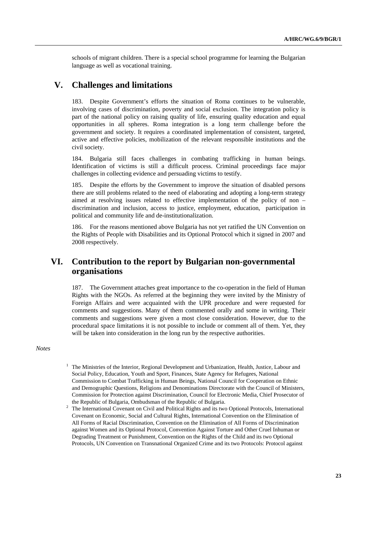schools of migrant children. There is a special school programme for learning the Bulgarian language as well as vocational training.

# **V. Challenges and limitations**

183. Despite Government's efforts the situation of Roma continues to be vulnerable, involving cases of discrimination, poverty and social exclusion. The integration policy is part of the national policy on raising quality of life, ensuring quality education and equal opportunities in all spheres. Roma integration is a long term challenge before the government and society. It requires a coordinated implementation of consistent, targeted, active and effective policies, mobilization of the relevant responsible institutions and the civil society.

184. Bulgaria still faces challenges in combating trafficking in human beings. Identification of victims is still a difficult process. Criminal proceedings face major challenges in collecting evidence and persuading victims to testify.

185. Despite the efforts by the Government to improve the situation of disabled persons there are still problems related to the need of elaborating and adopting a long-term strategy aimed at resolving issues related to effective implementation of the policy of non – discrimination and inclusion, access to justice, employment, education, participation in political and community life and de-institutionalization.

186. For the reasons mentioned above Bulgaria has not yet ratified the UN Convention on the Rights of People with Disabilities and its Optional Protocol which it signed in 2007 and 2008 respectively.

# **VI. Contribution to the report by Bulgarian non-governmental organisations**

187. The Government attaches great importance to the co-operation in the field of Human Rights with the NGOs. As referred at the beginning they were invited by the Ministry of Foreign Affairs and were acquainted with the UPR procedure and were requested for comments and suggestions. Many of them commented orally and some in writing. Their comments and suggestions were given a most close consideration. However, due to the procedural space limitations it is not possible to include or comment all of them. Yet, they will be taken into consideration in the long run by the respective authorities.

*Notes* 

<sup>1</sup> The Ministries of the Interior, Regional Development and Urbanization, Health, Justice, Labour and Social Policy, Education, Youth and Sport, Finances, State Agency for Refugees, National Commission to Combat Trafficking in Human Beings, National Council for Cooperation on Ethnic and Demographic Questions, Religions and Denominations Directorate with the Council of Ministers, Commission for Protection against Discrimination, Council for Electronic Media, Chief Prosecutor of the Republic of Bulgaria, Ombudsman of the Republic of Bulgaria. 2

The International Covenant on Civil and Political Rights and its two Optional Protocols, International Covenant on Economic, Social and Cultural Rights, International Convention on the Elimination of All Forms of Racial Discrimination, Convention on the Elimination of All Forms of Discrimination against Women and its Optional Protocol, Convention Against Torture and Other Cruel Inhuman or Degrading Treatment or Punishment, Convention on the Rights of the Child and its two Optional Protocols, UN Convention on Transnational Organized Crime and its two Protocols: Protocol against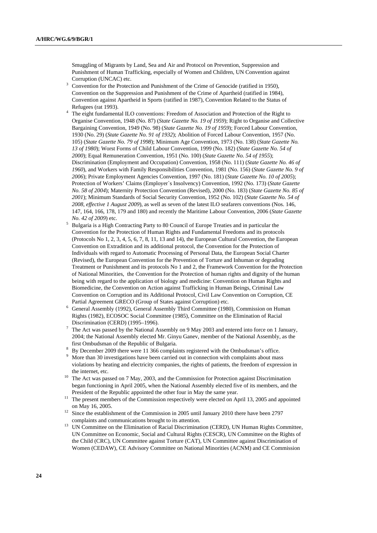Smuggling of Migrants by Land, Sea and Air and Protocol on Prevention, Suppression and Punishment of Human Trafficking, especially of Women and Children, UN Convention against Corruption (UNCAC) etc.  $\frac{3}{2}$  Convention for the Protect

- Convention for the Protection and Punishment of the Crime of Genocide (ratified in 1950), Convention on the Suppression and Punishment of the Crime of Apartheid (ratified in 1984), Convention against Apartheid in Sports (ratified in 1987), Convention Related to the Status of Refugees (rat 1993).
- <sup>4</sup> The eight fundamental ILO conventions: Freedom of Association and Protection of the Right to Organise Convention, 1948 (No. 87) (*State Gazette No. 19 of 1959*); Right to Organise and Collective Bargaining Convention, 1949 (No. 98) (*State Gazette No. 19 of 1959*); Forced Labour Convention, 1930 (No. 29) (*State Gazette No. 91 of 1932*); Abolition of Forced Labour Convention, 1957 (No. 105) (*State Gazette No. 79 of 1998*); Minimum Age Convention, 1973 (No. 138) (*State Gazette No. 13 of 1980*); Worst Forms of Child Labour Convention, 1999 (No. 182) (*State Gazette No. 54 of 2000*); Equal Remuneration Convention, 1951 (No. 100) (*State Gazette No. 54 of 1955*); Discrimination (Employment and Occupation) Convention, 1958 (No. 111) (*State Gazette No. 46 of 1960*), and Workers with Family Responsibilities Convention, 1981 (No. 156) (*State Gazette No. 9 of 2006*); Private Employment Agencies Convention, 1997 (No. 181) (*State Gazette No. 10 of 2005*); Protection of Workers' Claims (Employer`s Insolvency) Convention, 1992 (No. 173) (*State Gazette No. 58 of 2004*); Maternity Protection Convention (Revised), 2000 (No. 183) (*State Gazette No. 85 of 2001*); Minimum Standards of Social Security Convention, 1952 (No. 102) (*State Gazette No. 54 of 2008, effective 1 August 2009*), as well as seven of the latest ILO seafarers conventions (Nos. 146, 147, 164, 166, 178, 179 and 180) and recently the Maritime Labour Convention, 2006 (*State Gazette No. 42 of 2009*) etc.
- Bulgaria is a High Contracting Party to 80 Council of Europe Treaties and in particular the Convention for the Protection of Human Rights and Fundamental Freedoms and its protocols (Protocols No 1, 2, 3, 4, 5, 6, 7, 8, 11, 13 and 14), the European Cultural Convention, the European Convention on Extradition and its additional protocol, the Convention for the Protection of Individuals with regard to Automatic Processing of Personal Data, the European Social Charter (Revised), the European Convention for the Prevention of Torture and Inhuman or degrading Treatment or Punishment and its protocols No 1 and 2, the Framework Convention for the Protection of National Minorities, the Convention for the Protection of human rights and dignity of the human being with regard to the application of biology and medicine: Convention on Human Rights and Biomedicine, the Convention on Action against Trafficking in Human Beings, Criminal Law Convention on Corruption and its Additional Protocol, Civil Law Convention on Corruption, CE Partial Agreement GRECO (Group of States against Corruption) etc.
- General Assembly (1992), General Assembly Third Committee (1980), Commission on Human Rights (1982), ECOSOC Social Committee (1985), Committee on the Elimination of Racial
- Discrimination (CERD) (1995–1996).<br><sup>7</sup> The Act was passed by the National Assembly on 9 May 2003 and entered into force on 1 January, 2004; the National Assembly elected Mr. Ginyu Ganev, member of the National Assembly, as the
- first Ombudsman of the Republic of Bulgaria. 8 By December 2009 there were 11 366 complaints registered with the Ombudsman's office.
- 9 More than 30 investigations have been carried out in connection with complaints about mass violations by heating and electricity companies, the rights of patients, the freedom of expression in
- the internet, etc.<br><sup>10</sup> The Act was passed on 7 May, 2003, and the Commission for Protection against Discrimination began functioning in April 2005, when the National Assembly elected five of its members, and the
- President of the Republic appointed the other four in May the same year.<br><sup>11</sup> The present members of the Commission respectively were elected on April 13, 2005 and appointed
- on May 16, 2005. 12 Since the establishment of the Commission in 2005 until January 2010 there have been 2797 complaints and communications brought to its attention. 13 UN Committee on the Elimination of Racial Discrimination (CERD), UN Human Rights Committee,
- UN Committee on Economic, Social and Cultural Rights (CESCR), UN Committee on the Rights of the Child (CRC), UN Committee against Torture (CAT), UN Committee against Discrimination of Women (CEDAW), CE Advisory Committee on National Minorities (ACNM) and CE Commission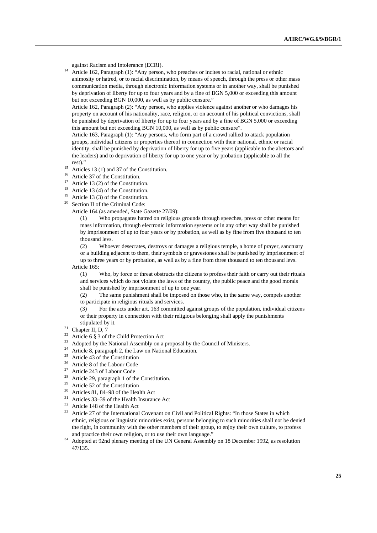against Racism and Intolerance (ECRI). 14 Article 162, Paragraph (1): "Any person, who preaches or incites to racial, national or ethnic animosity or hatred, or to racial discrimination, by means of speech, through the press or other mass communication media, through electronic information systems or in another way, shall be punished by deprivation of liberty for up to four years and by a fine of BGN 5,000 or exceeding this amount but not exceeding BGN 10,000, as well as by public censure."

Article 162, Paragraph (2): "Any person, who applies violence against another or who damages his property on account of his nationality, race, religion, or on account of his political convictions, shall be punished by deprivation of liberty for up to four years and by a fine of BGN 5,000 or exceeding this amount but not exceeding BGN 10,000, as well as by public censure".

Article 163, Paragraph (1): "Any persons, who form part of a crowd rallied to attack population groups, individual citizens or properties thereof in connection with their national, ethnic or racial identity, shall be punished by deprivation of liberty for up to five years (applicable to the abettors and the leaders) and to deprivation of liberty for up to one year or by probation (applicable to all the

- rest)." 15 Articles 13 (1) and 37 of the Constitution.
- <sup>16</sup> Article 37 of the Constitution.
- Article 13 (2) of the Constitution.
- <sup>18</sup> Article 13 (4) of the Constitution.
- <sup>19</sup> Article 13 (3) of the Constitution.<br><sup>20</sup> Section **H** of the Criminal Cada.
- Section II of the Criminal Code:

Article 164 (as amended, State Gazette 27/09):

 (1) Who propagates hatred on religious grounds through speeches, press or other means for mass information, through electronic information systems or in any other way shall be punished by imprisonment of up to four years or by probation, as well as by fine from five thousand to ten thousand levs.

 (2) Whoever desecrates, destroys or damages a religious temple, a home of prayer, sanctuary or a building adjacent to them, their symbols or gravestones shall be punished by imprisonment of up to three years or by probation, as well as by a fine from three thousand to ten thousand levs.

Article 165:

 (1) Who, by force or threat obstructs the citizens to profess their faith or carry out their rituals and services which do not violate the laws of the country, the public peace and the good morals shall be punished by imprisonment of up to one year.

 (2) The same punishment shall be imposed on those who, in the same way, compels another to participate in religious rituals and services.

 (3) For the acts under art. 163 committed against groups of the population, individual citizens or their property in connection with their religious belonging shall apply the punishments

- stipulated by it.<br>
<sup>21</sup> Chapter II, D, 7
- <sup>22</sup> Article 6  $\frac{1}{5}$  3 of the Child Protection Act
- <sup>23</sup> Adopted by the National Assembly on a proposal by the Council of Ministers.<br><sup>24</sup> Article 8, paragraph 2, the Law on National Education.
- 
- Article  $43$  of the Constitution
- <sup>26</sup> Article 8 of the Labour Code
- 27 Article 243 of Labour Code
- 28 Article 29, paragraph 1 of the Constitution.
- <sup>29</sup> Article 52 of the Constitution<br> $\frac{30}{2}$  Articles 81, 84, 08 of the Use
- Articles 81, 84–98 of the Health Act
- 31 Articles 33–39 of the Health Insurance Act
- $32$  Article 148 of the Health Act
- 33 Article 27 of the International Covenant on Civil and Political Rights: "In those States in which ethnic, religious or linguistic minorities exist, persons belonging to such minorities shall not be denied the right, in community with the other members of their group, to enjoy their own culture, to profess and practice their own religion, or to use their own language."
- <sup>34</sup> Adopted at 92nd plenary meeting of the UN General Assembly on 18 December 1992, as resolution 47/135.